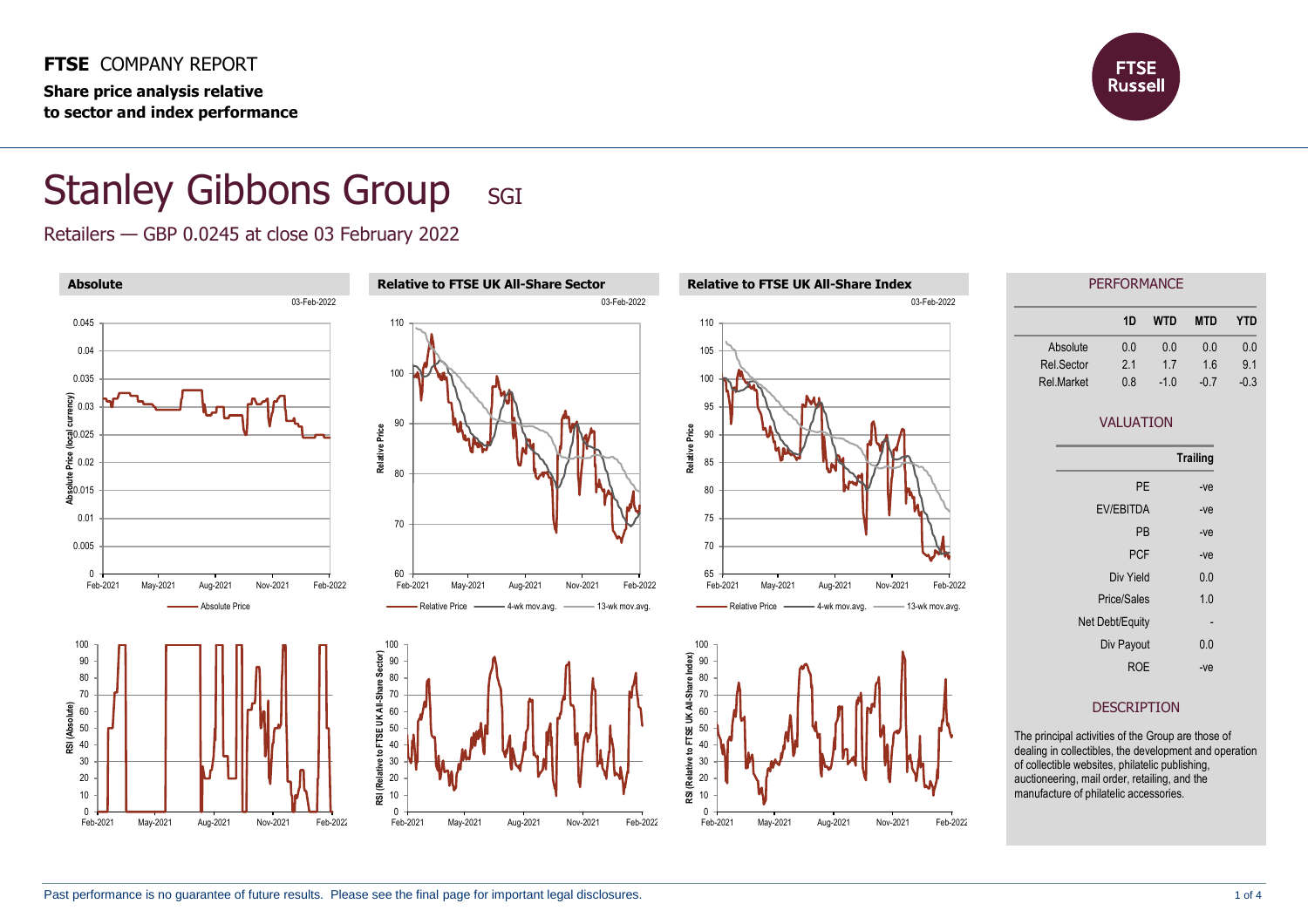**FTSE** COMPANY REPORT **Share price analysis relative to sector and index performance**



## Stanley Gibbons Group SGI

Retailers — GBP 0.0245 at close 03 February 2022

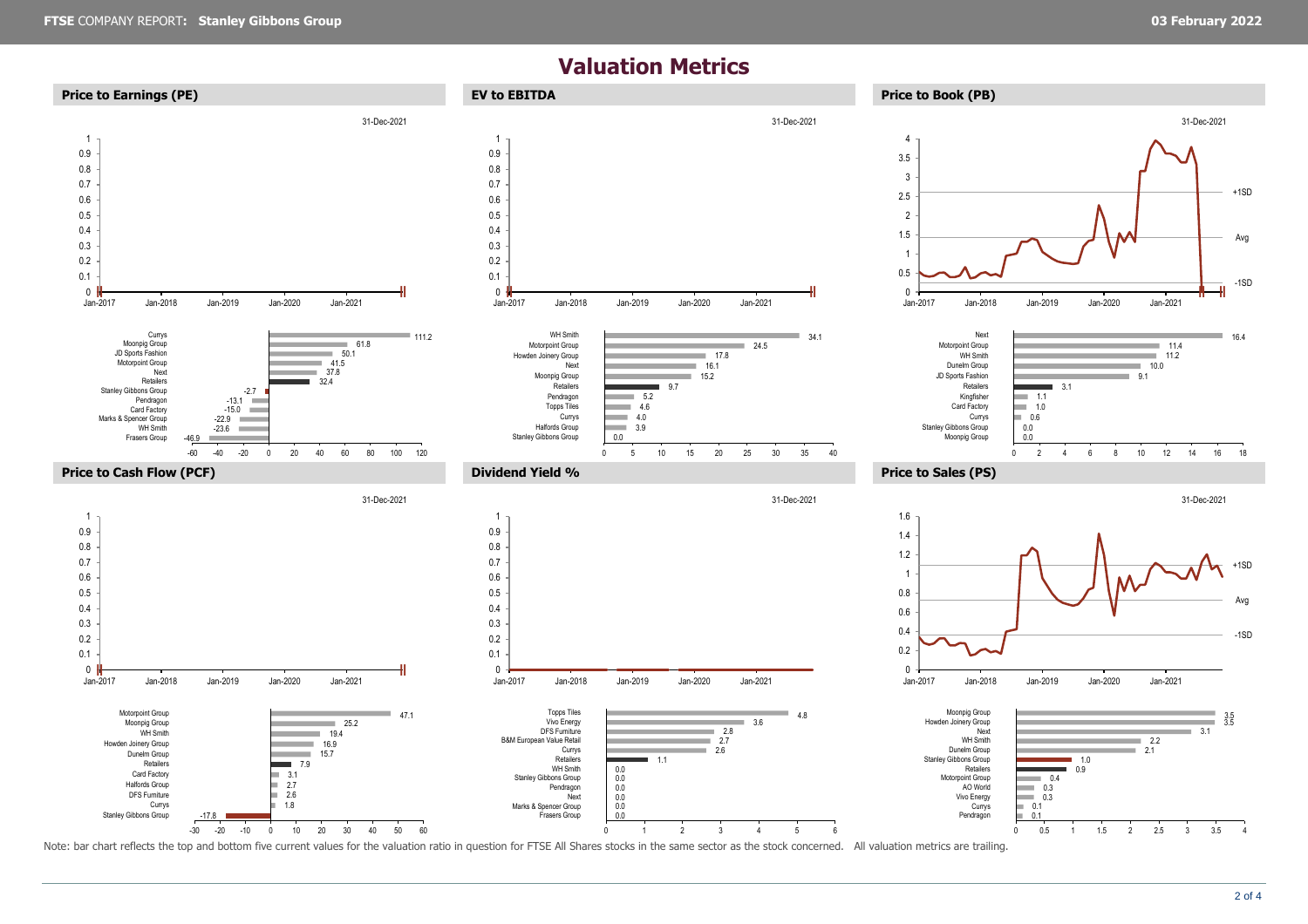## **Valuation Metrics**



Note: bar chart reflects the top and bottom five current values for the valuation ratio in question for FTSE All Shares stocks in the same sector as the stock concerned. All valuation metrics are trailing.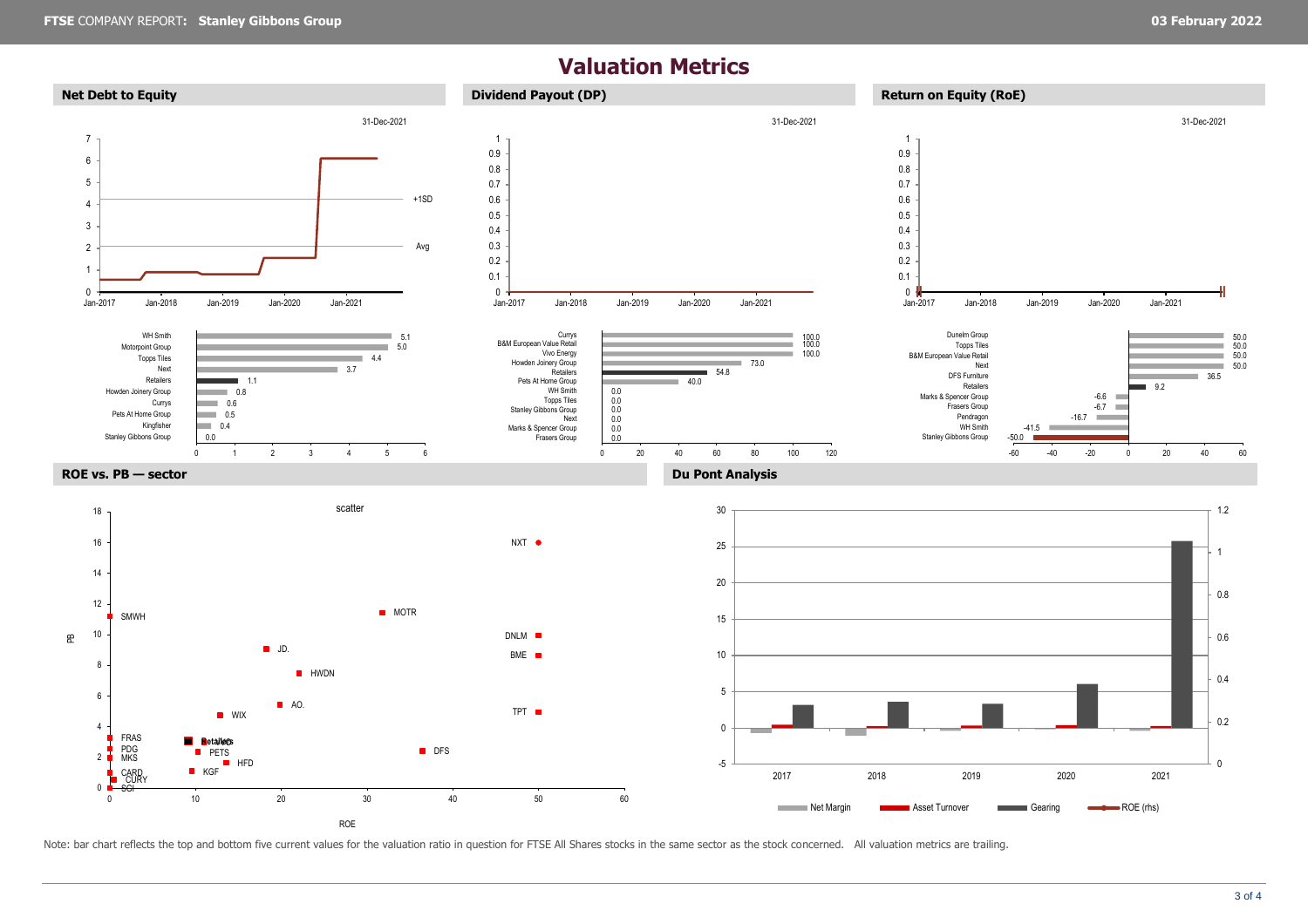## **Valuation Metrics**



Note: bar chart reflects the top and bottom five current values for the valuation ratio in question for FTSE All Shares stocks in the same sector as the stock concerned. All valuation metrics are trailing.